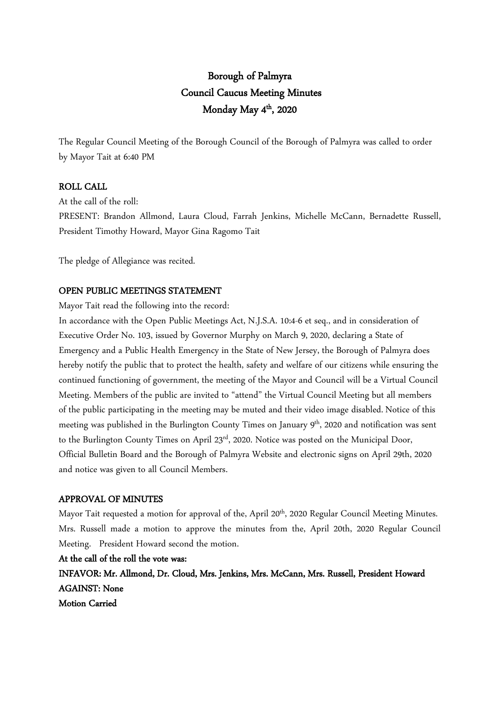# Borough of Palmyra Council Caucus Meeting Minutes Monday May 4<sup>th</sup>, 2020

The Regular Council Meeting of the Borough Council of the Borough of Palmyra was called to order by Mayor Tait at 6:40 PM

# ROLL CALL

At the call of the roll:

PRESENT: Brandon Allmond, Laura Cloud, Farrah Jenkins, Michelle McCann, Bernadette Russell, President Timothy Howard, Mayor Gina Ragomo Tait

The pledge of Allegiance was recited.

# OPEN PUBLIC MEETINGS STATEMENT

Mayor Tait read the following into the record:

In accordance with the Open Public Meetings Act, N.J.S.A. 10:4-6 et seq., and in consideration of Executive Order No. 103, issued by Governor Murphy on March 9, 2020, declaring a State of Emergency and a Public Health Emergency in the State of New Jersey, the Borough of Palmyra does hereby notify the public that to protect the health, safety and welfare of our citizens while ensuring the continued functioning of government, the meeting of the Mayor and Council will be a Virtual Council Meeting. Members of the public are invited to "attend" the Virtual Council Meeting but all members of the public participating in the meeting may be muted and their video image disabled. Notice of this meeting was published in the Burlington County Times on January  $9<sup>th</sup>$ , 2020 and notification was sent to the Burlington County Times on April 23<sup>rd</sup>, 2020. Notice was posted on the Municipal Door, Official Bulletin Board and the Borough of Palmyra Website and electronic signs on April 29th, 2020 and notice was given to all Council Members.

## APPROVAL OF MINUTES

Mayor Tait requested a motion for approval of the, April 20<sup>th</sup>, 2020 Regular Council Meeting Minutes. Mrs. Russell made a motion to approve the minutes from the, April 20th, 2020 Regular Council Meeting. President Howard second the motion.

At the call of the roll the vote was:

INFAVOR: Mr. Allmond, Dr. Cloud, Mrs. Jenkins, Mrs. McCann, Mrs. Russell, President Howard AGAINST: None Motion Carried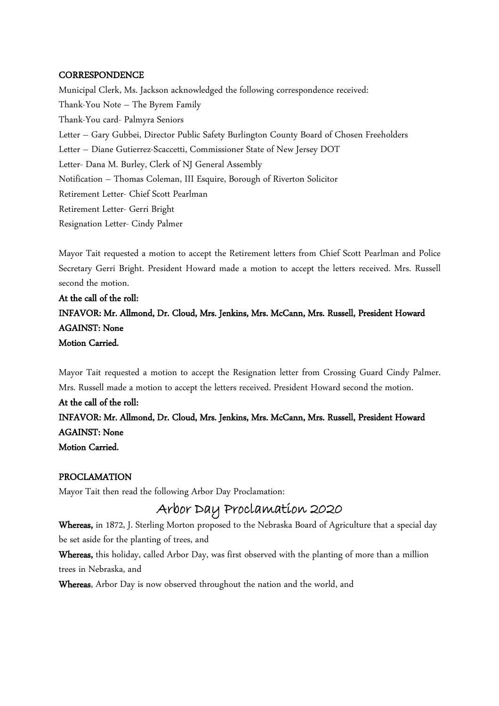#### **CORRESPONDENCE**

Municipal Clerk, Ms. Jackson acknowledged the following correspondence received: Thank-You Note – The Byrem Family Thank-You card- Palmyra Seniors Letter – Gary Gubbei, Director Public Safety Burlington County Board of Chosen Freeholders Letter – Diane Gutierrez-Scaccetti, Commissioner State of New Jersey DOT Letter- Dana M. Burley, Clerk of NJ General Assembly Notification – Thomas Coleman, III Esquire, Borough of Riverton Solicitor Retirement Letter- Chief Scott Pearlman Retirement Letter- Gerri Bright Resignation Letter- Cindy Palmer

Mayor Tait requested a motion to accept the Retirement letters from Chief Scott Pearlman and Police Secretary Gerri Bright. President Howard made a motion to accept the letters received. Mrs. Russell second the motion.

At the call of the roll: INFAVOR: Mr. Allmond, Dr. Cloud, Mrs. Jenkins, Mrs. McCann, Mrs. Russell, President Howard AGAINST: None Motion Carried.

Mayor Tait requested a motion to accept the Resignation letter from Crossing Guard Cindy Palmer. Mrs. Russell made a motion to accept the letters received. President Howard second the motion.

At the call of the roll: INFAVOR: Mr. Allmond, Dr. Cloud, Mrs. Jenkins, Mrs. McCann, Mrs. Russell, President Howard AGAINST: None Motion Carried.

## PROCLAMATION

Mayor Tait then read the following Arbor Day Proclamation:

# Arbor Day Proclamation 2020

Whereas, in 1872, J. Sterling Morton proposed to the Nebraska Board of Agriculture that a special day be set aside for the planting of trees, and

Whereas, this holiday, called Arbor Day, was first observed with the planting of more than a million trees in Nebraska, and

Whereas, Arbor Day is now observed throughout the nation and the world, and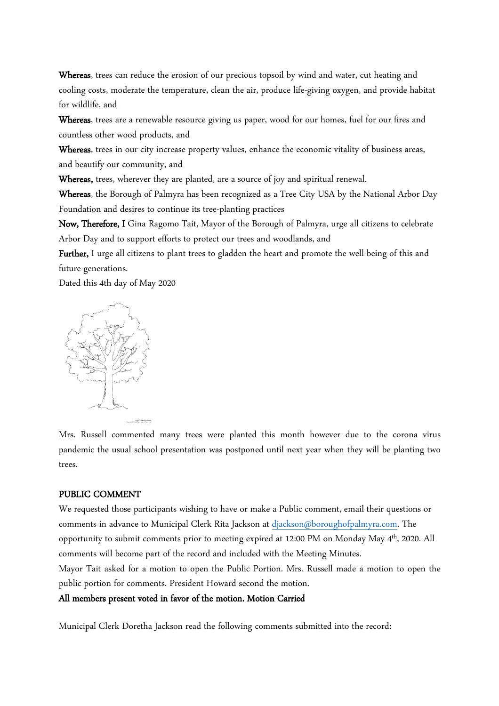Whereas, trees can reduce the erosion of our precious topsoil by wind and water, cut heating and cooling costs, moderate the temperature, clean the air, produce life-giving oxygen, and provide habitat for wildlife, and

Whereas, trees are a renewable resource giving us paper, wood for our homes, fuel for our fires and countless other wood products, and

Whereas, trees in our city increase property values, enhance the economic vitality of business areas, and beautify our community, and

Whereas, trees, wherever they are planted, are a source of joy and spiritual renewal.

Whereas, the Borough of Palmyra has been recognized as a Tree City USA by the National Arbor Day Foundation and desires to continue its tree-planting practices

Now, Therefore, I Gina Ragomo Tait, Mayor of the Borough of Palmyra, urge all citizens to celebrate Arbor Day and to support efforts to protect our trees and woodlands, and

Further, I urge all citizens to plant trees to gladden the heart and promote the well-being of this and future generations.

Dated this 4th day of May 2020



Mrs. Russell commented many trees were planted this month however due to the corona virus pandemic the usual school presentation was postponed until next year when they will be planting two trees.

#### PUBLIC COMMENT

We requested those participants wishing to have or make a Public comment, email their questions or comments in advance to Municipal Clerk Rita Jackson at djackson@boroughofpalmyra.com. The opportunity to submit comments prior to meeting expired at 12:00 PM on Monday May 4th, 2020. All comments will become part of the record and included with the Meeting Minutes.

Mayor Tait asked for a motion to open the Public Portion. Mrs. Russell made a motion to open the public portion for comments. President Howard second the motion.

All members present voted in favor of the motion. Motion Carried

Municipal Clerk Doretha Jackson read the following comments submitted into the record: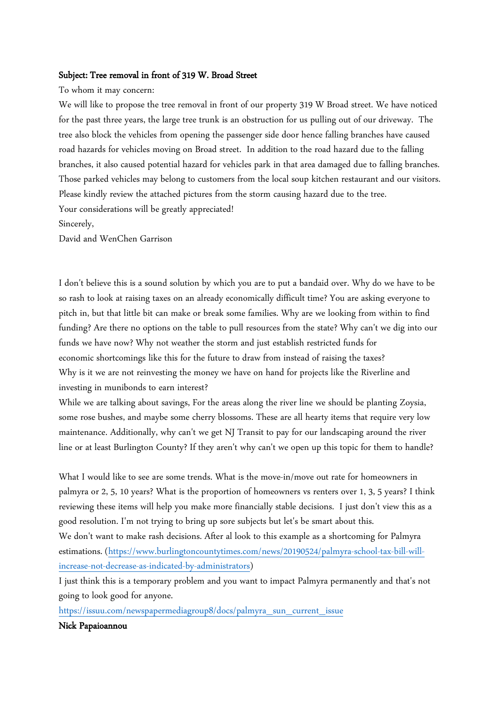#### Subject: Tree removal in front of 319 W. Broad Street

To whom it may concern:

We will like to propose the tree removal in front of our property 319 W Broad street. We have noticed for the past three years, the large tree trunk is an obstruction for us pulling out of our driveway. The tree also block the vehicles from opening the passenger side door hence falling branches have caused road hazards for vehicles moving on Broad street. In addition to the road hazard due to the falling branches, it also caused potential hazard for vehicles park in that area damaged due to falling branches. Those parked vehicles may belong to customers from the local soup kitchen restaurant and our visitors. Please kindly review the attached pictures from the storm causing hazard due to the tree. Your considerations will be greatly appreciated! Sincerely,

David and WenChen Garrison

I don't believe this is a sound solution by which you are to put a bandaid over. Why do we have to be so rash to look at raising taxes on an already economically difficult time? You are asking everyone to pitch in, but that little bit can make or break some families. Why are we looking from within to find funding? Are there no options on the table to pull resources from the state? Why can't we dig into our funds we have now? Why not weather the storm and just establish restricted funds for economic shortcomings like this for the future to draw from instead of raising the taxes? Why is it we are not reinvesting the money we have on hand for projects like the Riverline and investing in munibonds to earn interest?

While we are talking about savings, For the areas along the river line we should be planting Zoysia, some rose bushes, and maybe some cherry blossoms. These are all hearty items that require very low maintenance. Additionally, why can't we get NJ Transit to pay for our landscaping around the river line or at least Burlington County? If they aren't why can't we open up this topic for them to handle?

What I would like to see are some trends. What is the move-in/move out rate for homeowners in palmyra or 2, 5, 10 years? What is the proportion of homeowners vs renters over 1, 3, 5 years? I think reviewing these items will help you make more financially stable decisions. I just don't view this as a good resolution. I'm not trying to bring up sore subjects but let's be smart about this.

We don't want to make rash decisions. After al look to this example as a shortcoming for Palmyra estimations. (https://www.burlingtoncountytimes.com/news/20190524/palmyra-school-tax-bill-willincrease-not-decrease-as-indicated-by-administrators)

I just think this is a temporary problem and you want to impact Palmyra permanently and that's not going to look good for anyone.

https://issuu.com/newspapermediagroup8/docs/palmyra\_sun\_current\_issue

Nick Papaioannou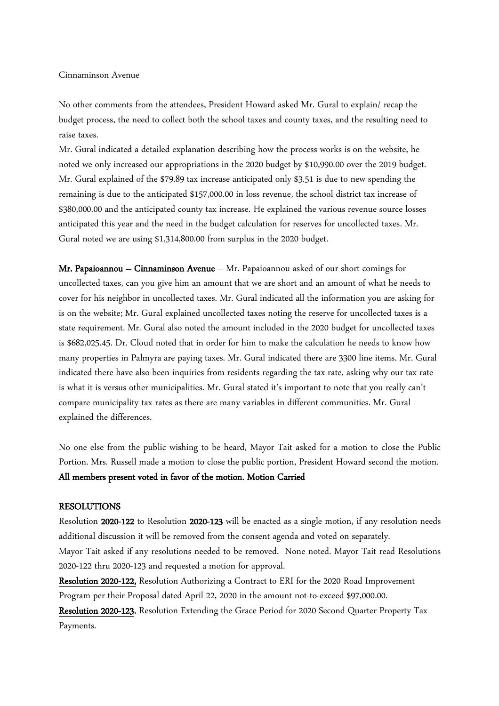#### Cinnaminson Avenue

No other comments from the attendees, President Howard asked Mr. Gural to explain/ recap the budget process, the need to collect both the school taxes and county taxes, and the resulting need to raise taxes.

Mr. Gural indicated a detailed explanation describing how the process works is on the website, he noted we only increased our appropriations in the 2020 budget by \$10,990.00 over the 2019 budget. Mr. Gural explained of the \$79.89 tax increase anticipated only \$3.51 is due to new spending the remaining is due to the anticipated \$157,000.00 in loss revenue, the school district tax increase of \$380,000.00 and the anticipated county tax increase. He explained the various revenue source losses anticipated this year and the need in the budget calculation for reserves for uncollected taxes. Mr. Gural noted we are using \$1,314,800.00 from surplus in the 2020 budget.

Mr. Papaioannou – Cinnaminson Avenue – Mr. Papaioannou asked of our short comings for uncollected taxes, can you give him an amount that we are short and an amount of what he needs to cover for his neighbor in uncollected taxes. Mr. Gural indicated all the information you are asking for is on the website; Mr. Gural explained uncollected taxes noting the reserve for uncollected taxes is a state requirement. Mr. Gural also noted the amount included in the 2020 budget for uncollected taxes is \$682,025.45. Dr. Cloud noted that in order for him to make the calculation he needs to know how many properties in Palmyra are paying taxes. Mr. Gural indicated there are 3300 line items. Mr. Gural indicated there have also been inquiries from residents regarding the tax rate, asking why our tax rate is what it is versus other municipalities. Mr. Gural stated it's important to note that you really can't compare municipality tax rates as there are many variables in different communities. Mr. Gural explained the differences.

No one else from the public wishing to be heard, Mayor Tait asked for a motion to close the Public Portion. Mrs. Russell made a motion to close the public portion, President Howard second the motion. All members present voted in favor of the motion. Motion Carried

#### RESOLUTIONS

Resolution 2020-122 to Resolution 2020-123 will be enacted as a single motion, if any resolution needs additional discussion it will be removed from the consent agenda and voted on separately. Mayor Tait asked if any resolutions needed to be removed. None noted. Mayor Tait read Resolutions 2020-122 thru 2020-123 and requested a motion for approval.

Resolution 2020-122, Resolution Authorizing a Contract to ERI for the 2020 Road Improvement Program per their Proposal dated April 22, 2020 in the amount not-to-exceed \$97,000.00.

Resolution 2020-123, Resolution Extending the Grace Period for 2020 Second Quarter Property Tax Payments.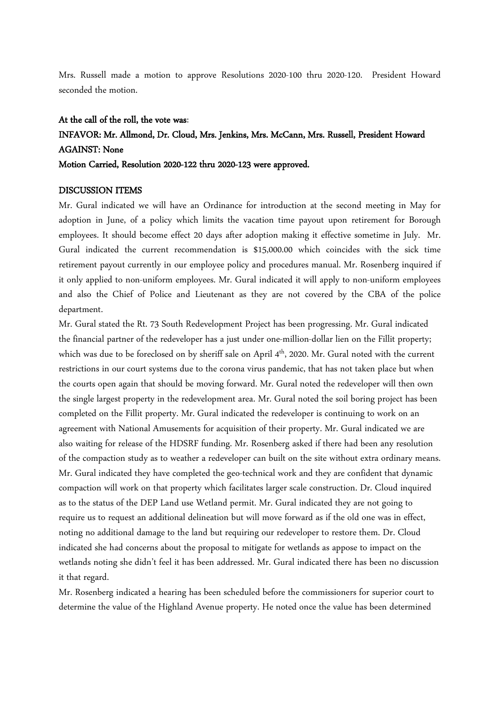Mrs. Russell made a motion to approve Resolutions 2020-100 thru 2020-120. President Howard seconded the motion.

# At the call of the roll, the vote was: INFAVOR: Mr. Allmond, Dr. Cloud, Mrs. Jenkins, Mrs. McCann, Mrs. Russell, President Howard AGAINST: None Motion Carried, Resolution 2020-122 thru 2020-123 were approved.

#### DISCUSSION ITEMS

Mr. Gural indicated we will have an Ordinance for introduction at the second meeting in May for adoption in June, of a policy which limits the vacation time payout upon retirement for Borough employees. It should become effect 20 days after adoption making it effective sometime in July. Mr. Gural indicated the current recommendation is \$15,000.00 which coincides with the sick time retirement payout currently in our employee policy and procedures manual. Mr. Rosenberg inquired if it only applied to non-uniform employees. Mr. Gural indicated it will apply to non-uniform employees and also the Chief of Police and Lieutenant as they are not covered by the CBA of the police department.

Mr. Gural stated the Rt. 73 South Redevelopment Project has been progressing. Mr. Gural indicated the financial partner of the redeveloper has a just under one-million-dollar lien on the Fillit property; which was due to be foreclosed on by sheriff sale on April 4<sup>th</sup>, 2020. Mr. Gural noted with the current restrictions in our court systems due to the corona virus pandemic, that has not taken place but when the courts open again that should be moving forward. Mr. Gural noted the redeveloper will then own the single largest property in the redevelopment area. Mr. Gural noted the soil boring project has been completed on the Fillit property. Mr. Gural indicated the redeveloper is continuing to work on an agreement with National Amusements for acquisition of their property. Mr. Gural indicated we are also waiting for release of the HDSRF funding. Mr. Rosenberg asked if there had been any resolution of the compaction study as to weather a redeveloper can built on the site without extra ordinary means. Mr. Gural indicated they have completed the geo-technical work and they are confident that dynamic compaction will work on that property which facilitates larger scale construction. Dr. Cloud inquired as to the status of the DEP Land use Wetland permit. Mr. Gural indicated they are not going to require us to request an additional delineation but will move forward as if the old one was in effect, noting no additional damage to the land but requiring our redeveloper to restore them. Dr. Cloud indicated she had concerns about the proposal to mitigate for wetlands as appose to impact on the wetlands noting she didn't feel it has been addressed. Mr. Gural indicated there has been no discussion it that regard.

Mr. Rosenberg indicated a hearing has been scheduled before the commissioners for superior court to determine the value of the Highland Avenue property. He noted once the value has been determined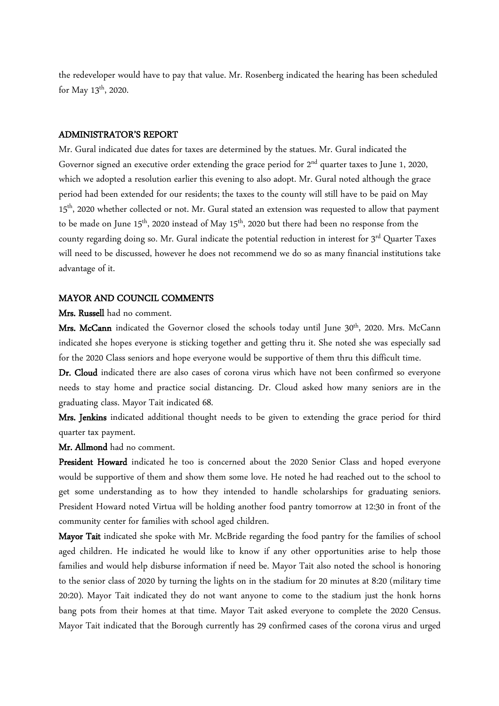the redeveloper would have to pay that value. Mr. Rosenberg indicated the hearing has been scheduled for May  $13^{\text{th}}$ , 2020.

#### ADMINISTRATOR'S REPORT

Mr. Gural indicated due dates for taxes are determined by the statues. Mr. Gural indicated the Governor signed an executive order extending the grace period for  $2<sup>nd</sup>$  quarter taxes to June 1, 2020, which we adopted a resolution earlier this evening to also adopt. Mr. Gural noted although the grace period had been extended for our residents; the taxes to the county will still have to be paid on May 15<sup>th</sup>, 2020 whether collected or not. Mr. Gural stated an extension was requested to allow that payment to be made on June 15<sup>th</sup>, 2020 instead of May 15<sup>th</sup>, 2020 but there had been no response from the county regarding doing so. Mr. Gural indicate the potential reduction in interest for  $3^{rd}$  Quarter Taxes will need to be discussed, however he does not recommend we do so as many financial institutions take advantage of it.

#### MAYOR AND COUNCIL COMMENTS

Mrs. Russell had no comment.

Mrs. McCann indicated the Governor closed the schools today until June 30<sup>th</sup>, 2020. Mrs. McCann indicated she hopes everyone is sticking together and getting thru it. She noted she was especially sad for the 2020 Class seniors and hope everyone would be supportive of them thru this difficult time.

Dr. Cloud indicated there are also cases of corona virus which have not been confirmed so everyone needs to stay home and practice social distancing. Dr. Cloud asked how many seniors are in the graduating class. Mayor Tait indicated 68.

Mrs. Jenkins indicated additional thought needs to be given to extending the grace period for third quarter tax payment.

Mr. Allmond had no comment.

President Howard indicated he too is concerned about the 2020 Senior Class and hoped everyone would be supportive of them and show them some love. He noted he had reached out to the school to get some understanding as to how they intended to handle scholarships for graduating seniors. President Howard noted Virtua will be holding another food pantry tomorrow at 12:30 in front of the community center for families with school aged children.

Mayor Tait indicated she spoke with Mr. McBride regarding the food pantry for the families of school aged children. He indicated he would like to know if any other opportunities arise to help those families and would help disburse information if need be. Mayor Tait also noted the school is honoring to the senior class of 2020 by turning the lights on in the stadium for 20 minutes at 8:20 (military time 20:20). Mayor Tait indicated they do not want anyone to come to the stadium just the honk horns bang pots from their homes at that time. Mayor Tait asked everyone to complete the 2020 Census. Mayor Tait indicated that the Borough currently has 29 confirmed cases of the corona virus and urged